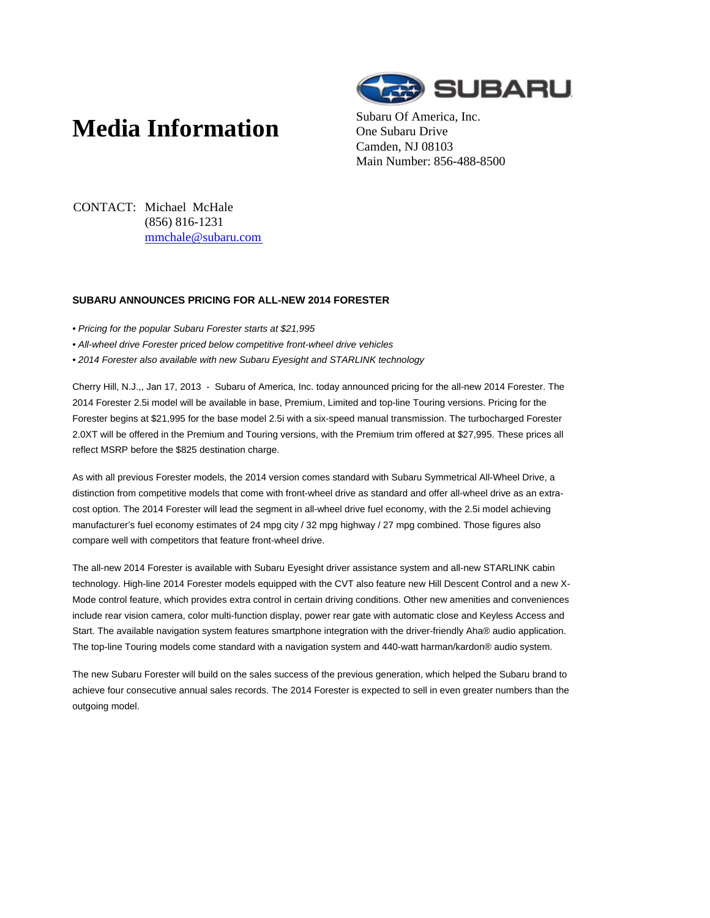## **Media Information** Subaru Of America, Inc.



One Subaru Drive Camden, NJ 08103 Main Number: 856-488-8500

CONTACT: Michael McHale (856) 816-1231 mmchale@subaru.com

## **SUBARU ANNOUNCES PRICING FOR ALL-NEW 2014 FORESTER**

- Pricing for the popular Subaru Forester starts at \$21,995
- All-wheel drive Forester priced below competitive front-wheel drive vehicles
- 2014 Forester also available with new Subaru Eyesight and STARLINK technology

Cherry Hill, N.J.,, Jan 17, 2013 - Subaru of America, Inc. today announced pricing for the all-new 2014 Forester. The 2014 Forester 2.5i model will be available in base, Premium, Limited and top-line Touring versions. Pricing for the Forester begins at \$21,995 for the base model 2.5i with a six-speed manual transmission. The turbocharged Forester 2.0XT will be offered in the Premium and Touring versions, with the Premium trim offered at \$27,995. These prices all reflect MSRP before the \$825 destination charge.

As with all previous Forester models, the 2014 version comes standard with Subaru Symmetrical All-Wheel Drive, a distinction from competitive models that come with front-wheel drive as standard and offer all-wheel drive as an extracost option. The 2014 Forester will lead the segment in all-wheel drive fuel economy, with the 2.5i model achieving manufacturer's fuel economy estimates of 24 mpg city / 32 mpg highway / 27 mpg combined. Those figures also compare well with competitors that feature front-wheel drive.

The all-new 2014 Forester is available with Subaru Eyesight driver assistance system and all-new STARLINK cabin technology. High-line 2014 Forester models equipped with the CVT also feature new Hill Descent Control and a new X-Mode control feature, which provides extra control in certain driving conditions. Other new amenities and conveniences include rear vision camera, color multi-function display, power rear gate with automatic close and Keyless Access and Start. The available navigation system features smartphone integration with the driver-friendly Aha® audio application. The top-line Touring models come standard with a navigation system and 440-watt harman/kardon® audio system.

The new Subaru Forester will build on the sales success of the previous generation, which helped the Subaru brand to achieve four consecutive annual sales records. The 2014 Forester is expected to sell in even greater numbers than the outgoing model.